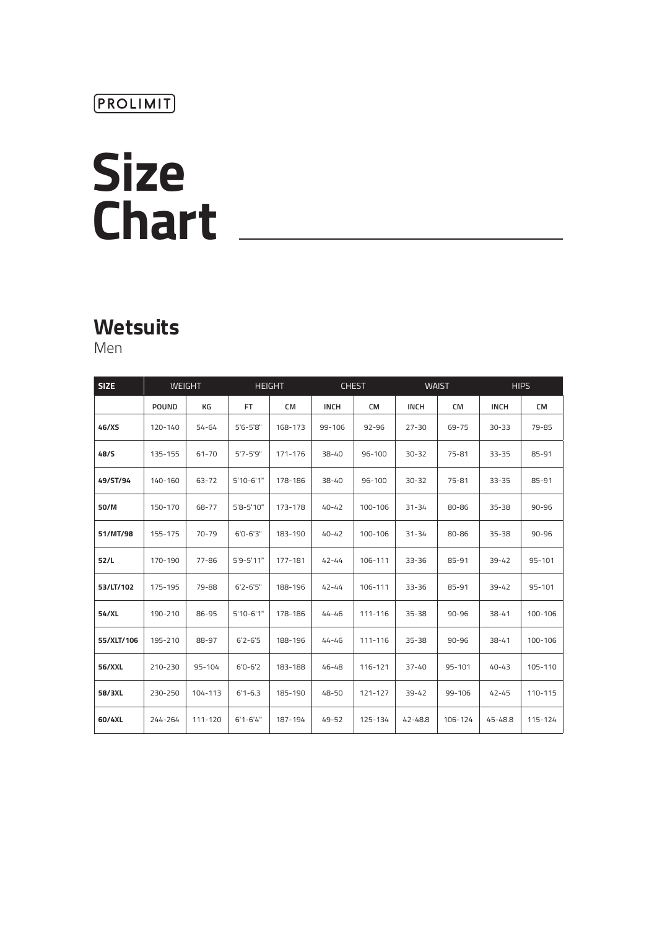# **Size Chart**

# **Wetsuits**

Men

| <b>SIZE</b> | <b>WEIGHT</b> |         | <b>HEIGHT</b> |           | <b>CHEST</b> |            | <b>WAIST</b> |            | <b>HIPS</b> |            |
|-------------|---------------|---------|---------------|-----------|--------------|------------|--------------|------------|-------------|------------|
|             | <b>POUND</b>  | КG      | FT.           | <b>CM</b> | <b>INCH</b>  | CM         | <b>INCH</b>  | СM         | <b>INCH</b> | <b>CM</b>  |
| 46/XS       | 120-140       | 54-64   | $5'6 - 5'8''$ | 168-173   | 99-106       | $92 - 96$  | $27 - 30$    | 69-75      | $30 - 33$   | 79-85      |
| 48/S        | 135-155       | 61-70   | $5'7 - 5'9''$ | 171-176   | $38 - 40$    | $96 - 100$ | $30 - 32$    | 75-81      | $33 - 35$   | 85-91      |
| 49/ST/94    | 140-160       | 63-72   | $5'10-6'1"$   | 178-186   | $38 - 40$    | $96 - 100$ | $30 - 32$    | 75-81      | $33 - 35$   | 85-91      |
| 50/M        | 150-170       | 68-77   | 5'8-5'10"     | 173-178   | $40 - 42$    | 100-106    | $31 - 34$    | 80-86      | $35 - 38$   | $90 - 96$  |
| 51/MT/98    | 155-175       | 70-79   | $6'0 - 6'3''$ | 183-190   | $40 - 42$    | 100-106    | $31 - 34$    | 80-86      | $35 - 38$   | $90 - 96$  |
| 52/L        | 170-190       | 77-86   | 5'9-5'11"     | 177-181   | $42 - 44$    | 106-111    | $33 - 36$    | 85-91      | $39 - 42$   | $95 - 101$ |
| 53/LT/102   | 175-195       | 79-88   | $6'2 - 6'5''$ | 188-196   | $42 - 44$    | 106-111    | $33 - 36$    | 85-91      | $39 - 42$   | 95-101     |
| 54/XL       | 190-210       | 86-95   | $5'10-6'1"$   | 178-186   | 44-46        | 111-116    | $35 - 38$    | $90 - 96$  | 38-41       | 100-106    |
| 55/XLT/106  | 195-210       | 88-97   | $6'2 - 6'5$   | 188-196   | 44-46        | 111-116    | $35 - 38$    | $90 - 96$  | $38 - 41$   | 100-106    |
| 56/XXL      | 210-230       | 95-104  | $6'0 - 6'2$   | 183-188   | 46-48        | 116-121    | $37 - 40$    | $95 - 101$ | $40 - 43$   | 105-110    |
| 58/3XL      | 230-250       | 104-113 | $6'1 - 6.3$   | 185-190   | 48-50        | 121-127    | $39 - 42$    | 99-106     | $42 - 45$   | 110-115    |
| 60/4XL      | 244-264       | 111-120 | $6'1 - 6'4''$ | 187-194   | 49-52        | 125-134    | 42-48.8      | 106-124    | 45-48.8     | 115-124    |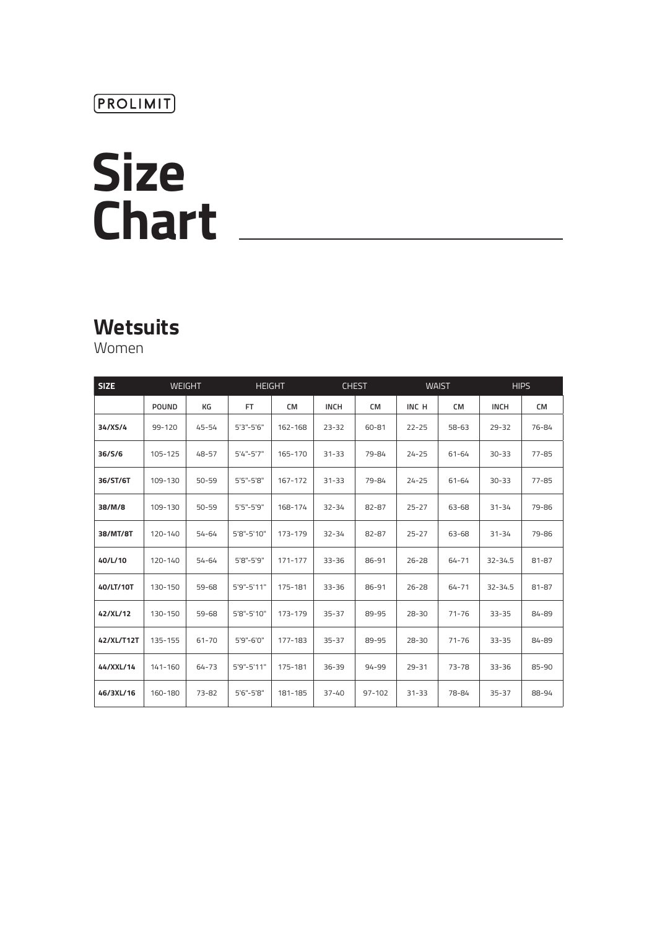## (PROLIMIT)

# **Size Chart**

# **Wetsuits**

Women

| <b>SIZE</b> | <b>WEIGHT</b> |           | <b>HEIGHT</b>   |             | <b>CHEST</b> |            |           | <b>WAIST</b> | <b>HIPS</b> |           |
|-------------|---------------|-----------|-----------------|-------------|--------------|------------|-----------|--------------|-------------|-----------|
|             | <b>POUND</b>  | КG        | <b>FT</b>       | <b>CM</b>   | <b>INCH</b>  | <b>CM</b>  | INC H     | <b>CM</b>    | <b>INCH</b> | <b>CM</b> |
| 34/XS/4     | 99-120        | 45-54     | $5'3'' - 5'6''$ | 162-168     | $23 - 32$    | 60-81      | $22 - 25$ | $58 - 63$    | $29 - 32$   | 76-84     |
| 36/S/6      | 105-125       | 48-57     | $5'4''-5'7''$   | 165-170     | $31 - 33$    | 79-84      | $24 - 25$ | 61-64        | $30 - 33$   | $77 - 85$ |
| 36/ST/6T    | 109-130       | $50 - 59$ | 5'5"-5'8"       | 167-172     | $31 - 33$    | 79-84      | $24 - 25$ | 61-64        | $30 - 33$   | $77 - 85$ |
| 38/M/8      | 109-130       | $50 - 59$ | 5'5"-5'9"       | 168-174     | $32 - 34$    | 82-87      | $25 - 27$ | 63-68        | $31 - 34$   | 79-86     |
| 38/MT/8T    | 120-140       | 54-64     | 5'8"-5'10"      | 173-179     | $32 - 34$    | 82-87      | $25 - 27$ | 63-68        | $31 - 34$   | 79-86     |
| 40/L/10     | 120-140       | 54-64     | 5'8"-5'9"       | $171 - 177$ | $33 - 36$    | 86-91      | $26 - 28$ | $64 - 71$    | $32 - 34.5$ | 81-87     |
| 40/LT/10T   | 130-150       | 59-68     | 5'9"-5'11"      | 175-181     | $33 - 36$    | 86-91      | $26 - 28$ | 64-71        | $32 - 34.5$ | 81-87     |
| 42/XL/12    | 130-150       | 59-68     | 5'8"-5'10"      | 173-179     | $35 - 37$    | 89-95      | $28 - 30$ | $71 - 76$    | $33 - 35$   | 84-89     |
| 42/XL/T12T  | 135-155       | 61-70     | 5'9"-6'0"       | 177-183     | $35 - 37$    | 89-95      | $28 - 30$ | $71 - 76$    | $33 - 35$   | 84-89     |
| 44/XXL/14   | 141-160       | 64-73     | 5'9"-5'11"      | 175-181     | $36 - 39$    | $94 - 99$  | $29 - 31$ | $73 - 78$    | $33 - 36$   | 85-90     |
| 46/3XL/16   | 160-180       | 73-82     | 5'6"-5'8"       | 181-185     | $37 - 40$    | $97 - 102$ | $31 - 33$ | 78-84        | $35 - 37$   | 88-94     |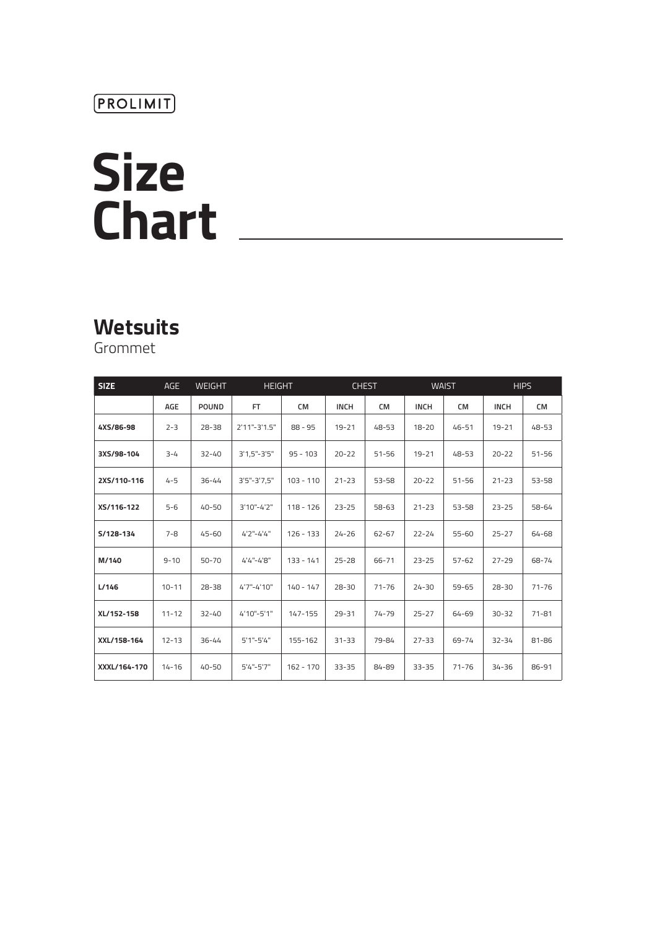### $(PROLIMIT)$

# **Size Chart**

# **Wetsuits**

Grommet

| <b>SIZE</b>  | <b>AGE</b> | <b>WEIGHT</b> | <b>HEIGHT</b>      |             | <b>CHEST</b> |           | <b>WAIST</b> |           | <b>HIPS</b> |           |
|--------------|------------|---------------|--------------------|-------------|--------------|-----------|--------------|-----------|-------------|-----------|
|              | AGE        | <b>POUND</b>  | FT.                | CM          | <b>INCH</b>  | CM        | <b>INCH</b>  | <b>CM</b> | <b>INCH</b> | <b>CM</b> |
| 4XS/86-98    | $2 - 3$    | $28 - 38$     | $2'11" - 3'1.5"$   | $88 - 95$   | $19 - 21$    | $48 - 53$ | $18 - 20$    | 46-51     | $19 - 21$   | 48-53     |
| 3XS/98-104   | $3 - 4$    | $32 - 40$     | $3'1,5" - 3'5"$    | $95 - 103$  | $20 - 22$    | $51 - 56$ | $19 - 21$    | 48-53     | $20 - 22$   | $51 - 56$ |
| 2XS/110-116  | $4 - 5$    | $36 - 44$     | $3'5'' - 3'7, 5''$ | $103 - 110$ | $21 - 23$    | $53 - 58$ | $20 - 22$    | $51 - 56$ | $21 - 23$   | 53-58     |
| XS/116-122   | $5 - 6$    | $40 - 50$     | 3'10"-4'2"         | $118 - 126$ | $23 - 25$    | $58 - 63$ | $21 - 23$    | 53-58     | $23 - 25$   | 58-64     |
| S/128-134    | $7 - 8$    | $45 - 60$     | 4'2"-4'4"          | $126 - 133$ | $24 - 26$    | 62-67     | $22 - 24$    | 55-60     | $25 - 27$   | 64-68     |
| M/140        | $9 - 10$   | $50 - 70$     | 4'4"-4'8"          | $133 - 141$ | $25 - 28$    | 66-71     | $23 - 25$    | $57 - 62$ | $27 - 29$   | 68-74     |
| L/146        | $10 - 11$  | $28 - 38$     | 4'7"-4'10"         | $140 - 147$ | $28 - 30$    | $71 - 76$ | $24 - 30$    | $59 - 65$ | $28 - 30$   | $71 - 76$ |
| XL/152-158   | $11 - 12$  | $32 - 40$     | 4'10"-5'1"         | 147-155     | $29 - 31$    | 74-79     | $25 - 27$    | 64-69     | $30 - 32$   | $71 - 81$ |
| XXL/158-164  | $12 - 13$  | $36 - 44$     | $5'1'' - 5'4''$    | 155-162     | $31 - 33$    | 79-84     | $27 - 33$    | 69-74     | $32 - 34$   | 81-86     |
| XXXL/164-170 | $14 - 16$  | $40 - 50$     | $5'4''-5'7''$      | $162 - 170$ | $33 - 35$    | 84-89     | $33 - 35$    | $71 - 76$ | $34 - 36$   | 86-91     |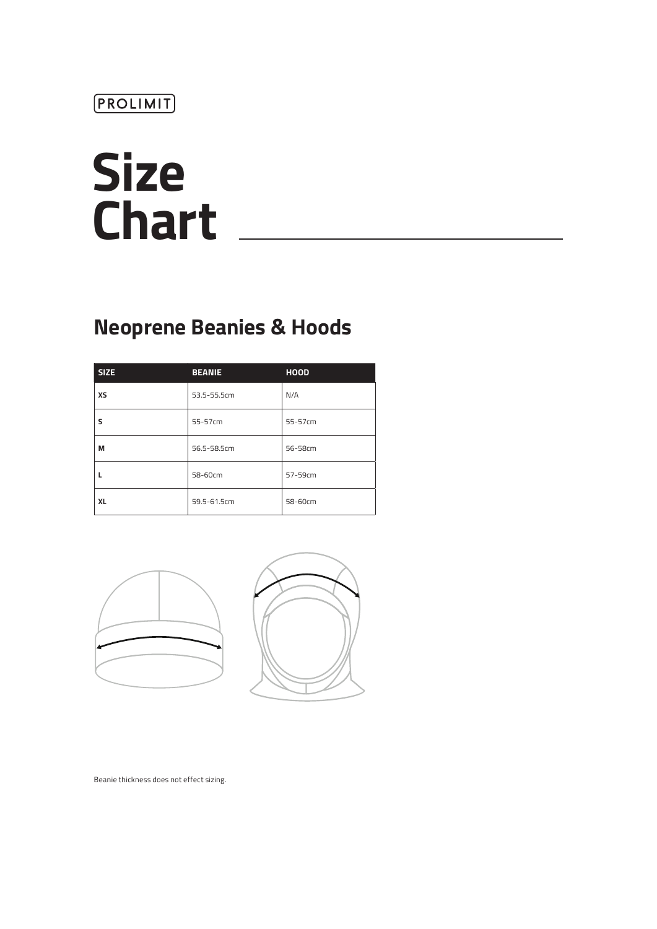# **Size Chart**

# **Neoprene Beanies & Hoods**

| <b>SIZE</b> | <b>BEANIE</b> | <b>HOOD</b> |
|-------------|---------------|-------------|
| <b>XS</b>   | 53.5-55.5cm   | N/A         |
| s           | 55-57cm       | 55-57cm     |
| М           | 56.5-58.5cm   | 56-58cm     |
|             | 58-60cm       | 57-59cm     |
| <b>XL</b>   | 59.5-61.5cm   | 58-60cm     |



Beanie thickness does not effect sizing.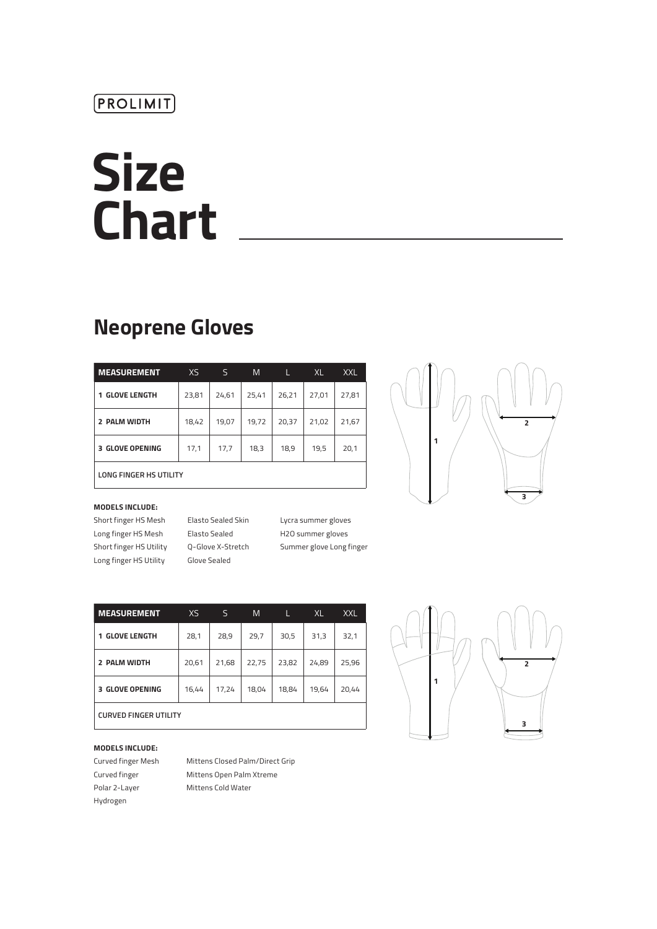# **Size Chart**

## **Neoprene Gloves**

| <b>MEASUREMENT</b>               | XS    | S     | M     | L     | XL    | <b>XXL</b> |  |  |  |
|----------------------------------|-------|-------|-------|-------|-------|------------|--|--|--|
| <b>GLOVE LENGTH</b><br>1         | 23,81 | 24,61 | 25,41 | 26,21 | 27,01 | 27,81      |  |  |  |
| 2 PALM WIDTH                     | 18,42 | 19,07 | 19,72 | 20,37 | 21,02 | 21,67      |  |  |  |
| <b>3 GLOVE OPENING</b>           | 17,1  | 17,7  | 18,3  | 18,9  | 19,5  | 20,1       |  |  |  |
| $1.081.0$ FINICER 110 11711 1714 |       |       |       |       |       |            |  |  |  |



**LONG FINGER HS UTILITY**

#### **MODELS INCLUDE:**

Long finger HS Mesh Elasto Sealed H2O summer gloves Long finger HS Utility Glove Sealed

Short finger HS Mesh Elasto Sealed Skin Lycra summer gloves

Short finger HS Utility Q-Glove X-Stretch Summer glove Long finger

| <b>MEASUREMENT</b>           | XS    | S     | M     | L     | XL    | <b>XXL</b> |  |  |
|------------------------------|-------|-------|-------|-------|-------|------------|--|--|
| <b>GLOVE LENGTH</b><br>1     | 28,1  | 28,9  | 29,7  | 30,5  | 31,3  | 32,1       |  |  |
| 2 PALM WIDTH                 | 20,61 | 21,68 | 22,75 | 23,82 | 24,89 | 25,96      |  |  |
| <b>GLOVE OPENING</b><br>з.   | 16,44 | 17,24 | 18,04 | 18,84 | 19,64 | 20,44      |  |  |
| <b>CURVED FINGER UTILITY</b> |       |       |       |       |       |            |  |  |

#### **MODELS INCLUDE:**

Hydrogen

Curved finger Mesh Mittens Closed Palm/Direct Grip Curved finger Mittens Open Palm Xtreme Polar 2-Layer Mittens Cold Water

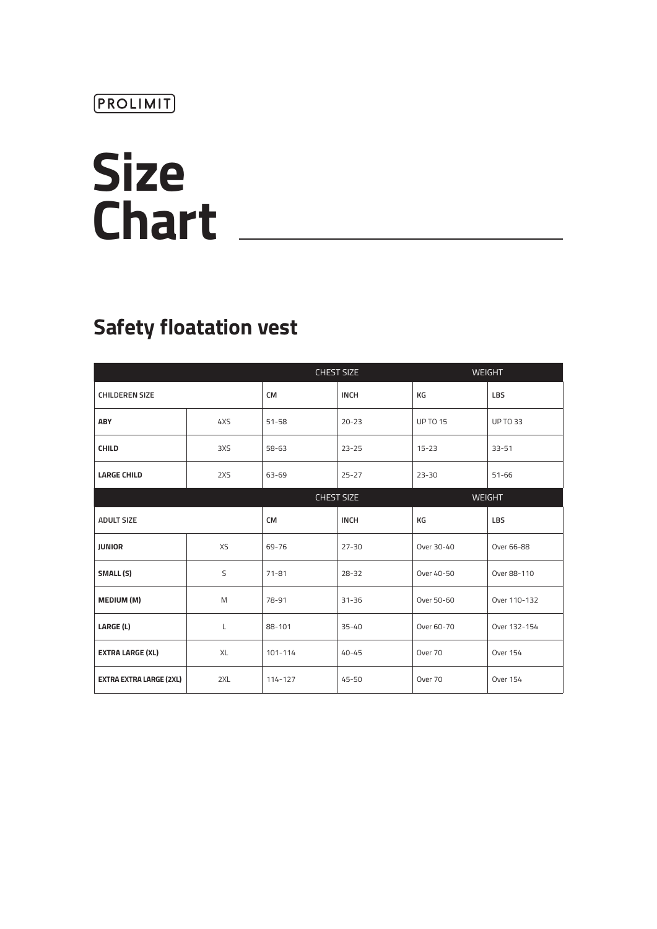# **Size Chart**

# **Safety floatation vest**

|                                |              |             | <b>CHEST SIZE</b> |                 | <b>WEIGHT</b>   |
|--------------------------------|--------------|-------------|-------------------|-----------------|-----------------|
| <b>CHILDEREN SIZE</b>          |              | <b>CM</b>   | <b>INCH</b>       | КG              | LBS             |
| <b>ABY</b>                     | 4XS          | $51 - 58$   | $20 - 23$         | <b>UP TO 15</b> | <b>UP TO 33</b> |
| <b>CHILD</b>                   | 3XS          | 58-63       | $23 - 25$         | $15 - 23$       | $33 - 51$       |
| <b>LARGE CHILD</b>             | 2XS          | 63-69       | $25 - 27$         | $23 - 30$       | $51 - 66$       |
|                                |              |             | <b>CHEST SIZE</b> |                 | <b>WEIGHT</b>   |
| <b>ADULT SIZE</b>              |              | <b>CM</b>   | <b>INCH</b>       | КG              | <b>LBS</b>      |
| <b>JUNIOR</b>                  | XS           | 69-76       | $27 - 30$         | Over 30-40      | Over 66-88      |
| SMALL (S)                      | S            | $71 - 81$   | $28 - 32$         | Over 40-50      | Over 88-110     |
| MEDIUM (M)                     | M            | 78-91       | $31 - 36$         | Over 50-60      | Over 110-132    |
| LARGE (L)                      | $\mathsf{L}$ | 88-101      | $35 - 40$         | Over 60-70      | Over 132-154    |
| <b>EXTRA LARGE (XL)</b>        | XL           | $101 - 114$ | $40 - 45$         | Over 70         | <b>Over 154</b> |
| <b>EXTRA EXTRA LARGE (2XL)</b> | 2XL          | $114 - 127$ | $45 - 50$         | Over 70         | <b>Over 154</b> |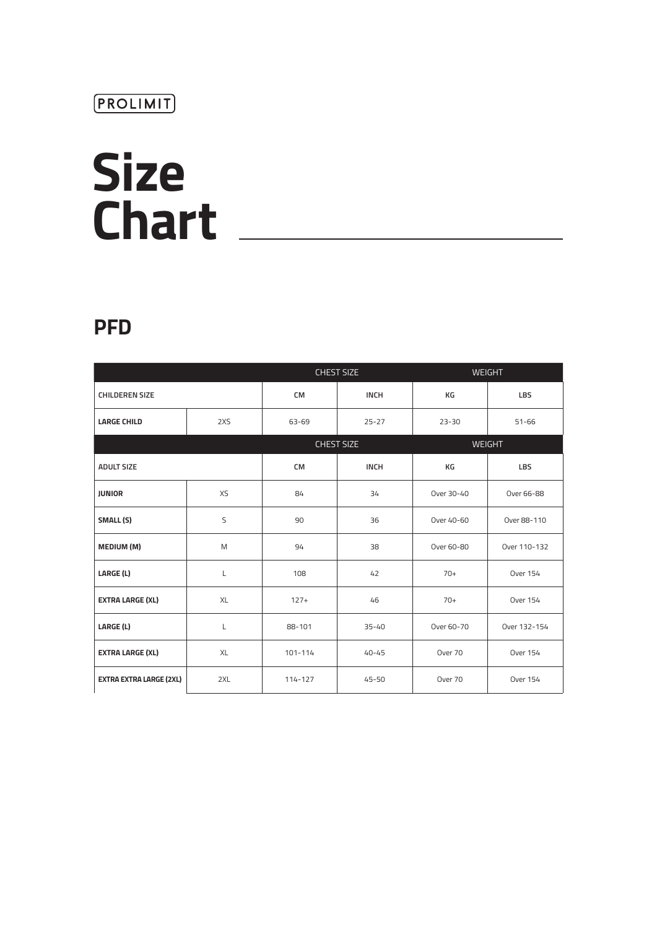# **Size Chart**

## **PFD**

|                                |     |             | <b>CHEST SIZE</b> | <b>WEIGHT</b> |                 |  |
|--------------------------------|-----|-------------|-------------------|---------------|-----------------|--|
| <b>CHILDEREN SIZE</b>          |     | <b>CM</b>   | <b>INCH</b>       | КG            | LBS             |  |
| <b>LARGE CHILD</b>             | 2XS | 63-69       | $25 - 27$         | $23 - 30$     | $51 - 66$       |  |
|                                |     |             | <b>CHEST SIZE</b> | <b>WEIGHT</b> |                 |  |
| <b>ADULT SIZE</b>              |     | <b>CM</b>   | <b>INCH</b>       | КG            | LBS             |  |
| <b>JUNIOR</b>                  | XS  | 84          | 34                | Over 30-40    | Over 66-88      |  |
| SMALL (S)                      | S   | 90          | 36                | Over 40-60    | Over 88-110     |  |
| <b>MEDIUM (M)</b>              | M   | 94          | 38                | Over 60-80    | Over 110-132    |  |
| LARGE (L)                      | L   | 108         | 42                | $70+$         | <b>Over 154</b> |  |
| <b>EXTRA LARGE (XL)</b>        | XL  | $127+$      | 46                | $70+$         | <b>Over 154</b> |  |
| LARGE (L)                      | L   | 88-101      | $35 - 40$         | Over 60-70    | Over 132-154    |  |
| <b>EXTRA LARGE (XL)</b>        | XL  | $101 - 114$ | $40 - 45$         | Over 70       | <b>Over 154</b> |  |
| <b>EXTRA EXTRA LARGE (2XL)</b> | 2XL | 114-127     | $45 - 50$         | Over 70       | <b>Over 154</b> |  |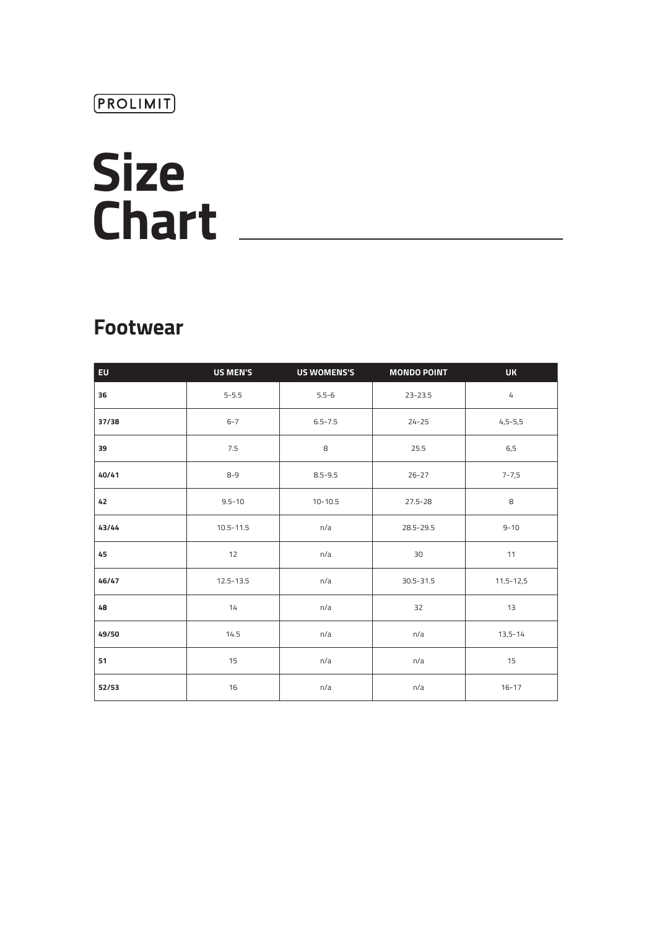# **Size Chart**

## **Footwear**

| EU    | <b>US MEN'S</b> | <b>US WOMENS'S</b> | <b>MONDO POINT</b> | <b>UK</b>            |
|-------|-----------------|--------------------|--------------------|----------------------|
| 36    | $5 - 5.5$       | $5.5 - 6$          | 23-23.5            | $\mathcal{L}_{\! +}$ |
| 37/38 | $6 - 7$         | $6.5 - 7.5$        | $24 - 25$          | $4,5-5,5$            |
| 39    | 7.5             | 8                  | 25.5               | 6,5                  |
| 40/41 | $8 - 9$         | $8.5 - 9.5$        | $26 - 27$          | $7 - 7,5$            |
| 42    | $9.5 - 10$      | $10 - 10.5$        | $27.5 - 28$        | 8                    |
| 43/44 | $10.5 - 11.5$   | n/a                | 28.5-29.5          | $9 - 10$             |
| 45    | 12              | n/a                | 30                 | 11                   |
| 46/47 | $12.5 - 13.5$   | n/a                | 30.5-31.5          | $11,5 - 12,5$        |
| 48    | 14              | n/a                | 32                 | 13                   |
| 49/50 | 14.5            | n/a                | n/a                | $13,5 - 14$          |
| 51    | 15              | n/a                | n/a                | 15                   |
| 52/53 | 16              | n/a                | n/a                | $16 - 17$            |